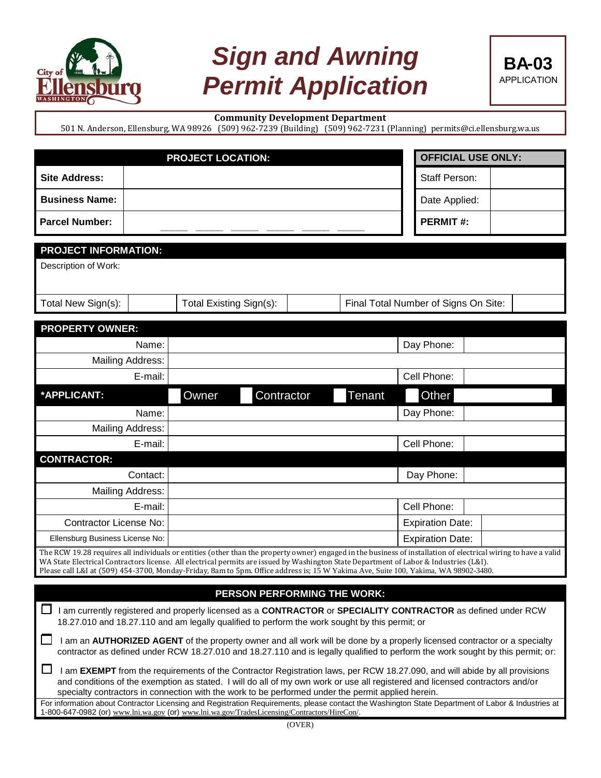

# *Sign and Awning Permit Application*



#### **Community Development Department**

501 N. Anderson, Ellensburg, WA 98926 (509) 962-7239 (Building) (509) 962-7231 (Planning) permits@ci.ellensburg.wa.us

|                                                                                                                                                                                                                 |                  | <b>PROJECT LOCATION:</b>                                                                                                                                                                                                                                                                                                                                                                                                                         |  |        |  | <b>OFFICIAL USE ONLY:</b>            |  |  |
|-----------------------------------------------------------------------------------------------------------------------------------------------------------------------------------------------------------------|------------------|--------------------------------------------------------------------------------------------------------------------------------------------------------------------------------------------------------------------------------------------------------------------------------------------------------------------------------------------------------------------------------------------------------------------------------------------------|--|--------|--|--------------------------------------|--|--|
| <b>Site Address:</b>                                                                                                                                                                                            |                  |                                                                                                                                                                                                                                                                                                                                                                                                                                                  |  |        |  | Staff Person:                        |  |  |
| <b>Business Name:</b>                                                                                                                                                                                           |                  |                                                                                                                                                                                                                                                                                                                                                                                                                                                  |  |        |  | Date Applied:                        |  |  |
| <b>Parcel Number:</b>                                                                                                                                                                                           |                  |                                                                                                                                                                                                                                                                                                                                                                                                                                                  |  |        |  | <b>PERMIT#:</b>                      |  |  |
| <b>PROJECT INFORMATION:</b>                                                                                                                                                                                     |                  |                                                                                                                                                                                                                                                                                                                                                                                                                                                  |  |        |  |                                      |  |  |
| Description of Work:                                                                                                                                                                                            |                  |                                                                                                                                                                                                                                                                                                                                                                                                                                                  |  |        |  |                                      |  |  |
|                                                                                                                                                                                                                 |                  |                                                                                                                                                                                                                                                                                                                                                                                                                                                  |  |        |  |                                      |  |  |
| Total New Sign(s):                                                                                                                                                                                              |                  | Total Existing Sign(s):                                                                                                                                                                                                                                                                                                                                                                                                                          |  |        |  | Final Total Number of Signs On Site: |  |  |
| <b>PROPERTY OWNER:</b>                                                                                                                                                                                          |                  |                                                                                                                                                                                                                                                                                                                                                                                                                                                  |  |        |  |                                      |  |  |
|                                                                                                                                                                                                                 | Name:            |                                                                                                                                                                                                                                                                                                                                                                                                                                                  |  |        |  | Day Phone:                           |  |  |
|                                                                                                                                                                                                                 | Mailing Address: |                                                                                                                                                                                                                                                                                                                                                                                                                                                  |  |        |  |                                      |  |  |
|                                                                                                                                                                                                                 | E-mail:          |                                                                                                                                                                                                                                                                                                                                                                                                                                                  |  |        |  | Cell Phone:                          |  |  |
| *APPLICANT:                                                                                                                                                                                                     |                  | Owner<br>Contractor                                                                                                                                                                                                                                                                                                                                                                                                                              |  | Tenant |  | Other                                |  |  |
|                                                                                                                                                                                                                 | Name:            |                                                                                                                                                                                                                                                                                                                                                                                                                                                  |  |        |  | Day Phone:                           |  |  |
|                                                                                                                                                                                                                 | Mailing Address: |                                                                                                                                                                                                                                                                                                                                                                                                                                                  |  |        |  |                                      |  |  |
|                                                                                                                                                                                                                 | E-mail:          |                                                                                                                                                                                                                                                                                                                                                                                                                                                  |  |        |  | Cell Phone:                          |  |  |
| <b>CONTRACTOR:</b>                                                                                                                                                                                              |                  |                                                                                                                                                                                                                                                                                                                                                                                                                                                  |  |        |  |                                      |  |  |
|                                                                                                                                                                                                                 | Contact:         |                                                                                                                                                                                                                                                                                                                                                                                                                                                  |  |        |  | Day Phone:                           |  |  |
|                                                                                                                                                                                                                 | Mailing Address: |                                                                                                                                                                                                                                                                                                                                                                                                                                                  |  |        |  |                                      |  |  |
|                                                                                                                                                                                                                 | E-mail:          |                                                                                                                                                                                                                                                                                                                                                                                                                                                  |  |        |  | Cell Phone:                          |  |  |
| <b>Contractor License No:</b>                                                                                                                                                                                   |                  |                                                                                                                                                                                                                                                                                                                                                                                                                                                  |  |        |  | <b>Expiration Date:</b>              |  |  |
| Ellensburg Business License No:                                                                                                                                                                                 |                  |                                                                                                                                                                                                                                                                                                                                                                                                                                                  |  |        |  | <b>Expiration Date:</b>              |  |  |
|                                                                                                                                                                                                                 |                  | The RCW 19.28 requires all individuals or entities (other than the property owner) engaged in the business of installation of electrical wiring to have a valid<br>WA State Electrical Contractors license. All electrical permits are issued by Washington State Department of Labor & Industries (L&I).<br>Please call L&I at (509) 454-3700, Monday-Friday, 8am to 5pm. Office address is; 15 W Yakima Ave, Suite 100, Yakima, WA 98902-3480. |  |        |  |                                      |  |  |
|                                                                                                                                                                                                                 |                  | PERSON PERFORMING THE WORK:                                                                                                                                                                                                                                                                                                                                                                                                                      |  |        |  |                                      |  |  |
| I am currently registered and properly licensed as a CONTRACTOR or SPECIALITY CONTRACTOR as defined under RCW<br>18.27.010 and 18.27.110 and am legally qualified to perform the work sought by this permit; or |                  |                                                                                                                                                                                                                                                                                                                                                                                                                                                  |  |        |  |                                      |  |  |
|                                                                                                                                                                                                                 |                  | I am an <b>AUTHORIZED AGENT</b> of the property owner and all work will be done by a properly licensed contractor or a specialty<br>contractor as defined under RCW 18.27.010 and 18.27.110 and is legally qualified to perform the work sought by this permit; or:                                                                                                                                                                              |  |        |  |                                      |  |  |

□ I am **EXEMPT** from the requirements of the Contractor Registration laws, per RCW 18.27.090, and will abide by all provisions and conditions of the exemption as stated. I will do all of my own work or use all registered and licensed contractors and/or specialty contractors in connection with the work to be performed under the permit applied herein.

For information about Contractor Licensing and Registration Requirements, please contact the Washington State Department of Labor & Industries at 1-800-647-0982 (or) [www.lni.wa.gov](http://www.lni.wa.gov/) (or) [www.lni.wa.gov/TradesLicensing/Contractors/HireCon/](http://www.lni.wa.gov/TradesLicensing/Contractors/HireCon/).